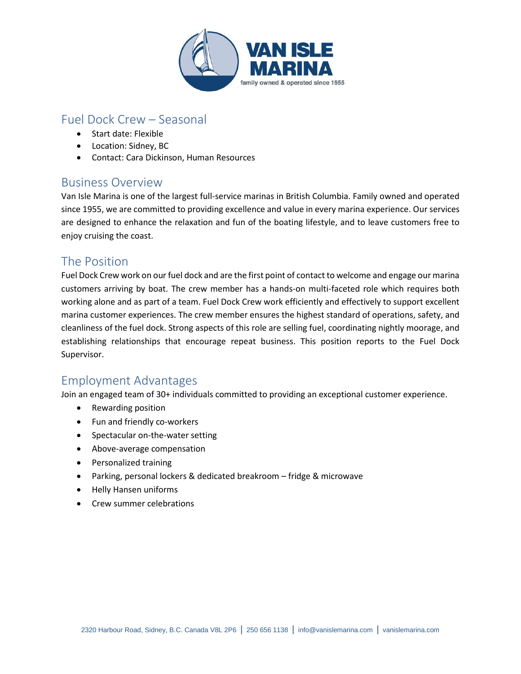

# Fuel Dock Crew – Seasonal

- Start date: Flexible
- Location: Sidney, BC
- Contact: Cara Dickinson, Human Resources

### Business Overview

Van Isle Marina is one of the largest full-service marinas in British Columbia. Family owned and operated since 1955, we are committed to providing excellence and value in every marina experience. Our services are designed to enhance the relaxation and fun of the boating lifestyle, and to leave customers free to enjoy cruising the coast.

### The Position

Fuel Dock Crew work on our fuel dock and are the first point of contact to welcome and engage our marina customers arriving by boat. The crew member has a hands-on multi-faceted role which requires both working alone and as part of a team. Fuel Dock Crew work efficiently and effectively to support excellent marina customer experiences. The crew member ensures the highest standard of operations, safety, and cleanliness of the fuel dock. Strong aspects of this role are selling fuel, coordinating nightly moorage, and establishing relationships that encourage repeat business. This position reports to the Fuel Dock Supervisor.

### Employment Advantages

Join an engaged team of 30+ individuals committed to providing an exceptional customer experience.

- Rewarding position
- Fun and friendly co-workers
- Spectacular on-the-water setting
- Above-average compensation
- Personalized training
- Parking, personal lockers & dedicated breakroom fridge & microwave
- Helly Hansen uniforms
- Crew summer celebrations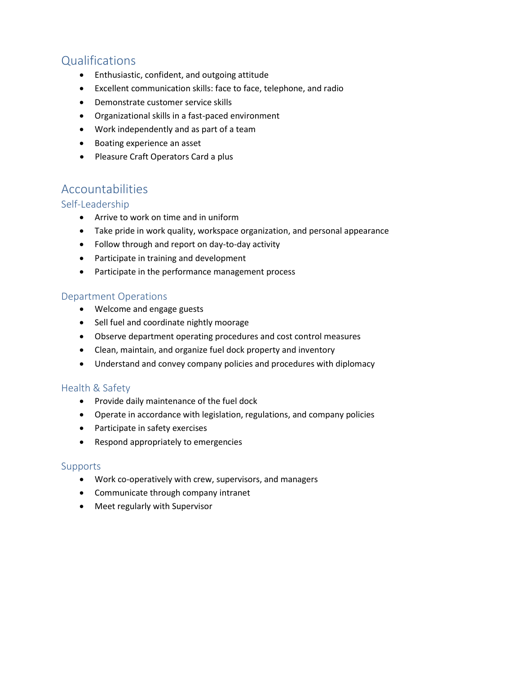# **Qualifications**

- Enthusiastic, confident, and outgoing attitude
- Excellent communication skills: face to face, telephone, and radio
- Demonstrate customer service skills
- Organizational skills in a fast-paced environment
- Work independently and as part of a team
- Boating experience an asset
- Pleasure Craft Operators Card a plus

## Accountabilities

### Self-Leadership

- Arrive to work on time and in uniform
- Take pride in work quality, workspace organization, and personal appearance
- Follow through and report on day-to-day activity
- Participate in training and development
- Participate in the performance management process

#### Department Operations

- Welcome and engage guests
- Sell fuel and coordinate nightly moorage
- Observe department operating procedures and cost control measures
- Clean, maintain, and organize fuel dock property and inventory
- Understand and convey company policies and procedures with diplomacy

### Health & Safety

- Provide daily maintenance of the fuel dock
- Operate in accordance with legislation, regulations, and company policies
- Participate in safety exercises
- Respond appropriately to emergencies

#### **Supports**

- Work co-operatively with crew, supervisors, and managers
- Communicate through company intranet
- Meet regularly with Supervisor